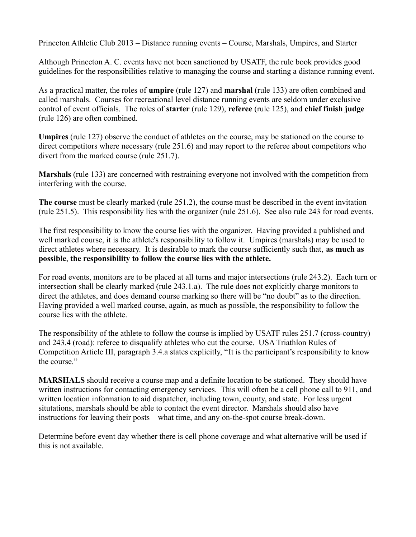Princeton Athletic Club 2013 – Distance running events – Course, Marshals, Umpires, and Starter

Although Princeton A. C. events have not been sanctioned by USATF, the rule book provides good guidelines for the responsibilities relative to managing the course and starting a distance running event.

As a practical matter, the roles of **umpire** (rule 127) and **marshal** (rule 133) are often combined and called marshals. Courses for recreational level distance running events are seldom under exclusive control of event officials. The roles of **starter** (rule 129), **referee** (rule 125), and **chief finish judge**  (rule 126) are often combined.

**Umpires** (rule 127) observe the conduct of athletes on the course, may be stationed on the course to direct competitors where necessary (rule 251.6) and may report to the referee about competitors who divert from the marked course (rule 251.7).

**Marshals** (rule 133) are concerned with restraining everyone not involved with the competition from interfering with the course.

**The course** must be clearly marked (rule 251.2), the course must be described in the event invitation (rule 251.5). This responsibility lies with the organizer (rule 251.6). See also rule 243 for road events.

The first responsibility to know the course lies with the organizer. Having provided a published and well marked course, it is the athlete's responsibility to follow it. Umpires (marshals) may be used to direct athletes where necessary. It is desirable to mark the course sufficiently such that, **as much as possible**, **the responsibility to follow the course lies with the athlete.**

For road events, monitors are to be placed at all turns and major intersections (rule 243.2). Each turn or intersection shall be clearly marked (rule 243.1.a). The rule does not explicitly charge monitors to direct the athletes, and does demand course marking so there will be "no doubt" as to the direction. Having provided a well marked course, again, as much as possible, the responsibility to follow the course lies with the athlete.

The responsibility of the athlete to follow the course is implied by USATF rules 251.7 (cross-country) and 243.4 (road): referee to disqualify athletes who cut the course. USA Triathlon Rules of Competition Article III, paragraph 3.4.a states explicitly, "It is the participant's responsibility to know the course."

**MARSHALS** should receive a course map and a definite location to be stationed. They should have written instructions for contacting emergency services. This will often be a cell phone call to 911, and written location information to aid dispatcher, including town, county, and state. For less urgent situtations, marshals should be able to contact the event director. Marshals should also have instructions for leaving their posts – what time, and any on-the-spot course break-down.

Determine before event day whether there is cell phone coverage and what alternative will be used if this is not available.